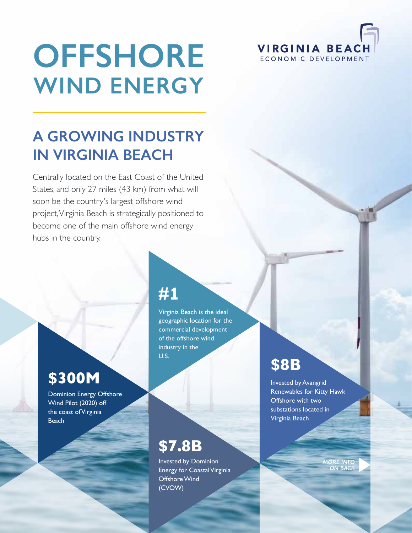# **OFFSHORE WIND ENERGY**

# **A GROWING INDUSTRY IN VIRGINIA BEACH**

Centrally located on the East Coast of the United States, and only 27 miles (43 km) from what will soon be the country's largest offshore wind project, Virginia Beach is strategically positioned to become one of the main offshore wind energy hubs in the country.

# **\$300M**

Dominion Energy Offshore Wind Pilot (2020) off the coast of Virginia **Beach** 

# **#**1

Virginia Beach is the ideal geographic location for the commercial development of the offshore wind industry in the U.S.

# **\$7.8B**

Invested by Dominion Energy for Coastal Virginia Offshore Wind (CVOW)

# **\$8B**

Invested by Avangrid Renewables for Kitty Hawk Offshore with two substations located in Virginia Beach

**VIRGINIA BEACH** ECONOMIC DEVELOPMENT

> *MORE INFO ON BACK*